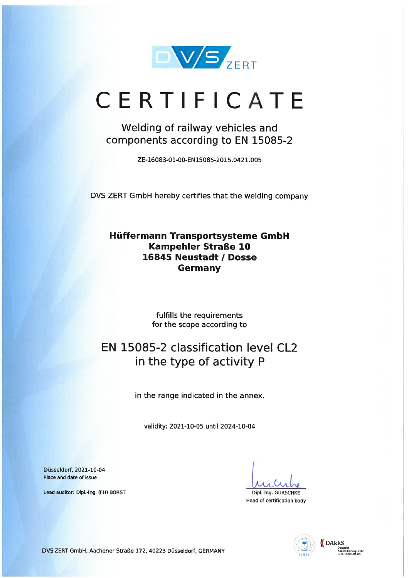

# CERTIFICATE

Welding of railway vehicles and components according to EN 15085-2

ZE-16083-01-00-EN15085-2015.0421.005

DVS ZERT GmbH hereby certifies that the welding Company

Hüffermann Transportsysteme GmbH Kampehler Straße 10 16845 Neustadt / Dosse Germany

> fulfills the requirements for the scope according to

## EN 15085-2 classification level CL2 in the type of activity P

in the range indicated in the annex.

validity: 2021-10-05 until 2024-10-04

Düsseldorf, 2021-10-04 Place and date of issue

Lead auditor: Dipl.-lng. (FH) BORST

 $\alpha$ 

Dipl.-Ing. GURSCHKE Head of certification body